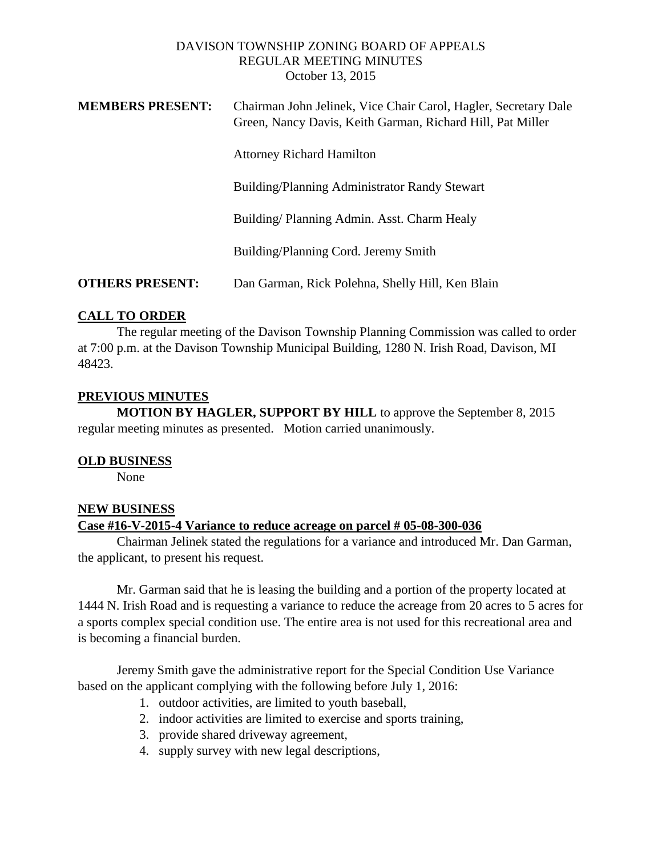### DAVISON TOWNSHIP ZONING BOARD OF APPEALS REGULAR MEETING MINUTES October 13, 2015

| <b>MEMBERS PRESENT:</b> | Chairman John Jelinek, Vice Chair Carol, Hagler, Secretary Dale<br>Green, Nancy Davis, Keith Garman, Richard Hill, Pat Miller |
|-------------------------|-------------------------------------------------------------------------------------------------------------------------------|
|                         | <b>Attorney Richard Hamilton</b>                                                                                              |
|                         | Building/Planning Administrator Randy Stewart                                                                                 |
|                         | Building/Planning Admin. Asst. Charm Healy                                                                                    |
|                         | Building/Planning Cord. Jeremy Smith                                                                                          |
| <b>OTHERS PRESENT:</b>  | Dan Garman, Rick Polehna, Shelly Hill, Ken Blain                                                                              |

# **CALL TO ORDER**

The regular meeting of the Davison Township Planning Commission was called to order at 7:00 p.m. at the Davison Township Municipal Building, 1280 N. Irish Road, Davison, MI 48423.

### **PREVIOUS MINUTES**

**MOTION BY HAGLER, SUPPORT BY HILL** to approve the September 8, 2015 regular meeting minutes as presented. Motion carried unanimously.

### **OLD BUSINESS**

None

### **NEW BUSINESS**

### **Case #16-V-2015-4 Variance to reduce acreage on parcel # 05-08-300-036**

Chairman Jelinek stated the regulations for a variance and introduced Mr. Dan Garman, the applicant, to present his request.

Mr. Garman said that he is leasing the building and a portion of the property located at 1444 N. Irish Road and is requesting a variance to reduce the acreage from 20 acres to 5 acres for a sports complex special condition use. The entire area is not used for this recreational area and is becoming a financial burden.

Jeremy Smith gave the administrative report for the Special Condition Use Variance based on the applicant complying with the following before July 1, 2016:

- 1. outdoor activities, are limited to youth baseball,
- 2. indoor activities are limited to exercise and sports training,
- 3. provide shared driveway agreement,
- 4. supply survey with new legal descriptions,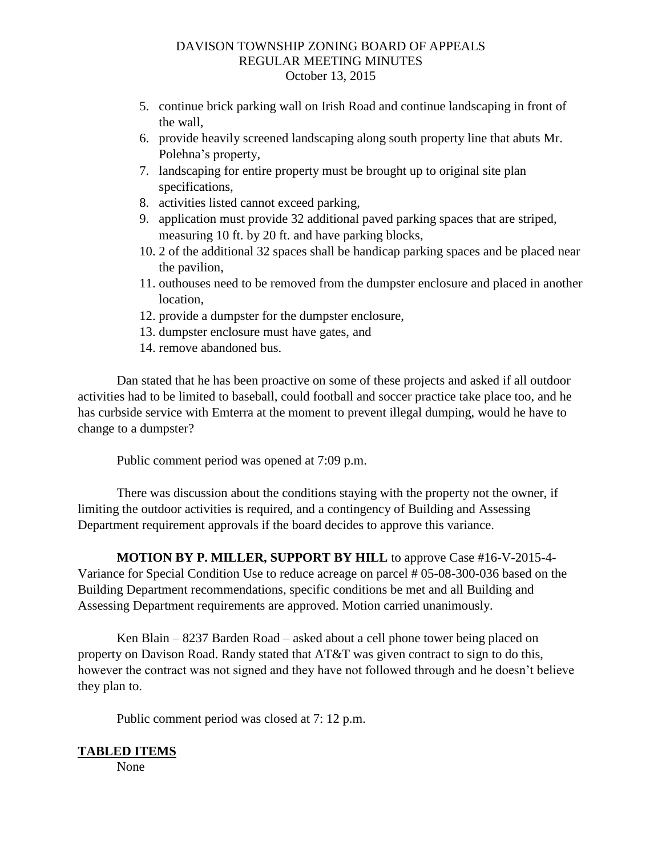### DAVISON TOWNSHIP ZONING BOARD OF APPEALS REGULAR MEETING MINUTES October 13, 2015

- 5. continue brick parking wall on Irish Road and continue landscaping in front of the wall,
- 6. provide heavily screened landscaping along south property line that abuts Mr. Polehna's property,
- 7. landscaping for entire property must be brought up to original site plan specifications,
- 8. activities listed cannot exceed parking,
- 9. application must provide 32 additional paved parking spaces that are striped, measuring 10 ft. by 20 ft. and have parking blocks,
- 10. 2 of the additional 32 spaces shall be handicap parking spaces and be placed near the pavilion,
- 11. outhouses need to be removed from the dumpster enclosure and placed in another location,
- 12. provide a dumpster for the dumpster enclosure,
- 13. dumpster enclosure must have gates, and
- 14. remove abandoned bus.

Dan stated that he has been proactive on some of these projects and asked if all outdoor activities had to be limited to baseball, could football and soccer practice take place too, and he has curbside service with Emterra at the moment to prevent illegal dumping, would he have to change to a dumpster?

Public comment period was opened at 7:09 p.m.

There was discussion about the conditions staying with the property not the owner, if limiting the outdoor activities is required, and a contingency of Building and Assessing Department requirement approvals if the board decides to approve this variance.

**MOTION BY P. MILLER, SUPPORT BY HILL** to approve Case #16-V-2015-4- Variance for Special Condition Use to reduce acreage on parcel # 05-08-300-036 based on the Building Department recommendations, specific conditions be met and all Building and Assessing Department requirements are approved. Motion carried unanimously.

Ken Blain – 8237 Barden Road – asked about a cell phone tower being placed on property on Davison Road. Randy stated that AT&T was given contract to sign to do this, however the contract was not signed and they have not followed through and he doesn't believe they plan to.

Public comment period was closed at 7: 12 p.m.

# **TABLED ITEMS**

None